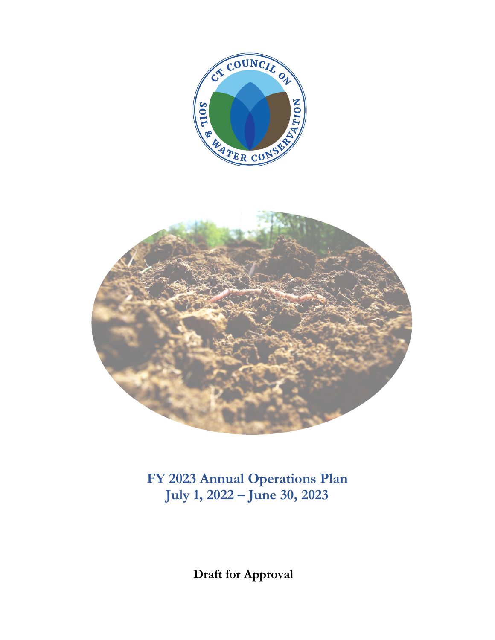



**FY 2023 Annual Operations Plan July 1, 2022 – June 30, 2023**

**Draft for Approval**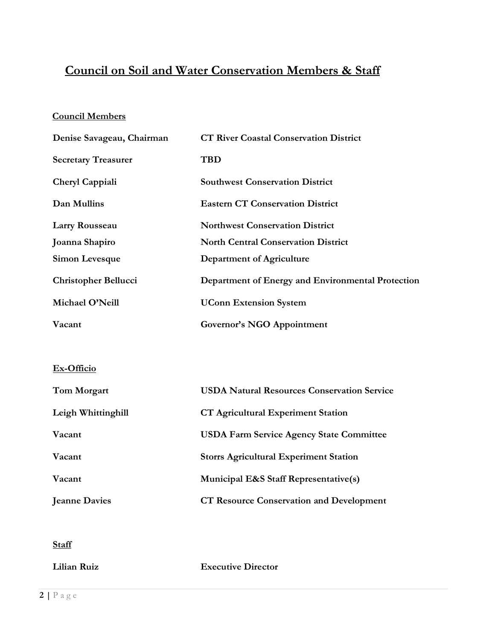## **Council on Soil and Water Conservation Members & Staff**

## **Council Members**

| Denise Savageau, Chairman   | <b>CT River Coastal Conservation District</b>     |
|-----------------------------|---------------------------------------------------|
| <b>Secretary Treasurer</b>  | <b>TBD</b>                                        |
| Cheryl Cappiali             | <b>Southwest Conservation District</b>            |
| Dan Mullins                 | <b>Eastern CT Conservation District</b>           |
| Larry Rousseau              | <b>Northwest Conservation District</b>            |
| Joanna Shapiro              | <b>North Central Conservation District</b>        |
| Simon Levesque              | Department of Agriculture                         |
| <b>Christopher Bellucci</b> | Department of Energy and Environmental Protection |
| Michael O'Neill             | <b>UConn Extension System</b>                     |
| Vacant                      | Governor's NGO Appointment                        |

## **Ex-Officio**

| Tom Morgart          | <b>USDA Natural Resources Conservation Service</b> |
|----------------------|----------------------------------------------------|
| Leigh Whittinghill   | <b>CT Agricultural Experiment Station</b>          |
| Vacant               | <b>USDA Farm Service Agency State Committee</b>    |
| Vacant               | <b>Storrs Agricultural Experiment Station</b>      |
| Vacant               | <b>Municipal E&amp;S Staff Representative(s)</b>   |
| <b>Jeanne Davies</b> | <b>CT Resource Conservation and Development</b>    |

## **Staff**

**Lilian Ruiz Executive Director**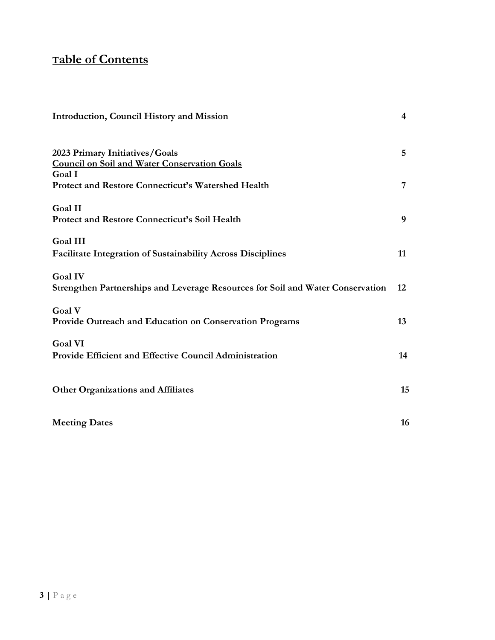# **Table of Contents**

| Introduction, Council History and Mission                                                        | $\overline{4}$  |
|--------------------------------------------------------------------------------------------------|-----------------|
| 2023 Primary Initiatives/Goals<br><b>Council on Soil and Water Conservation Goals</b><br>Goal I  | $5\overline{)}$ |
| Protect and Restore Connecticut's Watershed Health                                               | 7               |
| <b>Goal II</b><br>Protect and Restore Connecticut's Soil Health                                  | 9               |
| <b>Goal III</b><br>Facilitate Integration of Sustainability Across Disciplines                   | 11              |
| <b>Goal IV</b><br>Strengthen Partnerships and Leverage Resources for Soil and Water Conservation | 12              |
| Goal V<br>Provide Outreach and Education on Conservation Programs                                | 13              |
| <b>Goal VI</b><br>Provide Efficient and Effective Council Administration                         | 14              |
| <b>Other Organizations and Affiliates</b>                                                        | 15              |
| <b>Meeting Dates</b>                                                                             | 16              |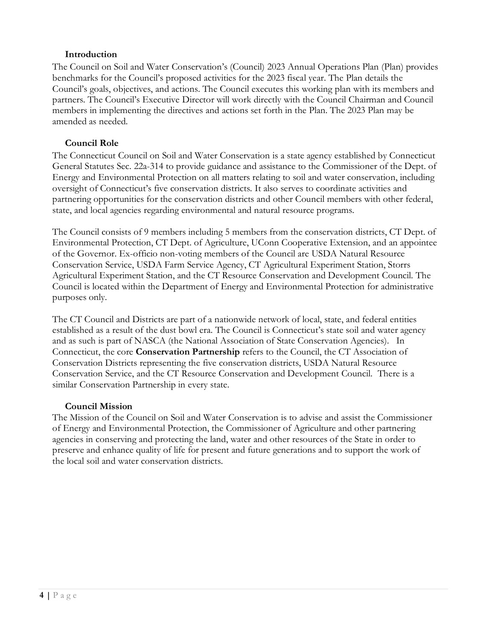#### **Introduction**

The Council on Soil and Water Conservation's (Council) 2023 Annual Operations Plan (Plan) provides benchmarks for the Council's proposed activities for the 2023 fiscal year. The Plan details the Council's goals, objectives, and actions. The Council executes this working plan with its members and partners. The Council's Executive Director will work directly with the Council Chairman and Council members in implementing the directives and actions set forth in the Plan. The 2023 Plan may be amended as needed.

## **Council Role**

The Connecticut Council on Soil and Water Conservation is a state agency established by Connecticut General Statutes Sec. 22a-314 to provide guidance and assistance to the Commissioner of the Dept. of Energy and Environmental Protection on all matters relating to soil and water conservation, including oversight of Connecticut's five conservation districts. It also serves to coordinate activities and partnering opportunities for the conservation districts and other Council members with other federal, state, and local agencies regarding environmental and natural resource programs.

The Council consists of 9 members including 5 members from the conservation districts, CT Dept. of Environmental Protection, CT Dept. of Agriculture, UConn Cooperative Extension, and an appointee of the Governor. Ex-officio non-voting members of the Council are USDA Natural Resource Conservation Service, USDA Farm Service Agency, CT Agricultural Experiment Station, Storrs Agricultural Experiment Station, and the CT Resource Conservation and Development Council. The Council is located within the Department of Energy and Environmental Protection for administrative purposes only.

The CT Council and Districts are part of a nationwide network of local, state, and federal entities established as a result of the dust bowl era. The Council is Connecticut's state soil and water agency and as such is part of NASCA (the National Association of State Conservation Agencies). In Connecticut, the core **Conservation Partnership** refers to the Council, the CT Association of Conservation Districts representing the five conservation districts, USDA Natural Resource Conservation Service, and the CT Resource Conservation and Development Council. There is a similar Conservation Partnership in every state.

#### **Council Mission**

The Mission of the Council on Soil and Water Conservation is to advise and assist the Commissioner of Energy and Environmental Protection, the Commissioner of Agriculture and other partnering agencies in conserving and protecting the land, water and other resources of the State in order to preserve and enhance quality of life for present and future generations and to support the work of the local soil and water conservation districts.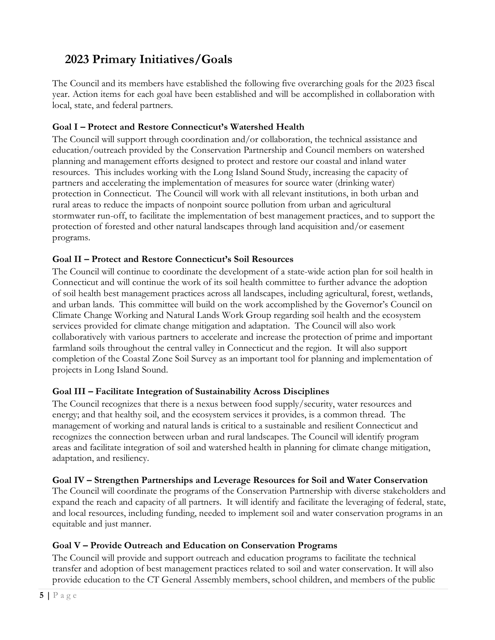# <span id="page-4-0"></span>**2023 Primary Initiatives/Goals**

The Council and its members have established the following five overarching goals for the 2023 fiscal year. Action items for each goal have been established and will be accomplished in collaboration with local, state, and federal partners.

## **Goal I – Protect and Restore Connecticut's Watershed Health**

The Council will support through coordination and/or collaboration, the technical assistance and education/outreach provided by the Conservation Partnership and Council members on watershed planning and management efforts designed to protect and restore our coastal and inland water resources. This includes working with the Long Island Sound Study, increasing the capacity of partners and accelerating the implementation of measures for source water (drinking water) protection in Connecticut. The Council will work with all relevant institutions, in both urban and rural areas to reduce the impacts of nonpoint source pollution from urban and agricultural stormwater run-off, to facilitate the implementation of best management practices, and to support the protection of forested and other natural landscapes through land acquisition and/or easement programs.

#### **Goal II – Protect and Restore Connecticut's Soil Resources**

The Council will continue to coordinate the development of a state-wide action plan for soil health in Connecticut and will continue the work of its soil health committee to further advance the adoption of soil health best management practices across all landscapes, including agricultural, forest, wetlands, and urban lands. This committee will build on the work accomplished by the Governor's Council on Climate Change Working and Natural Lands Work Group regarding soil health and the ecosystem services provided for climate change mitigation and adaptation. The Council will also work collaboratively with various partners to accelerate and increase the protection of prime and important farmland soils throughout the central valley in Connecticut and the region. It will also support completion of the Coastal Zone Soil Survey as an important tool for planning and implementation of projects in Long Island Sound.

#### **Goal III – Facilitate Integration of Sustainability Across Disciplines**

The Council recognizes that there is a nexus between food supply/security, water resources and energy; and that healthy soil, and the ecosystem services it provides, is a common thread. The management of working and natural lands is critical to a sustainable and resilient Connecticut and recognizes the connection between urban and rural landscapes. The Council will identify program areas and facilitate integration of soil and watershed health in planning for climate change mitigation, adaptation, and resiliency.

#### **Goal IV – Strengthen Partnerships and Leverage Resources for Soil and Water Conservation**

The Council will coordinate the programs of the Conservation Partnership with diverse stakeholders and expand the reach and capacity of all partners. It will identify and facilitate the leveraging of federal, state, and local resources, including funding, needed to implement soil and water conservation programs in an equitable and just manner.

## **Goal V – Provide Outreach and Education on Conservation Programs**

The Council will provide and support outreach and education programs to facilitate the technical transfer and adoption of best management practices related to soil and water conservation. It will also provide education to the CT General Assembly members, school children, and members of the public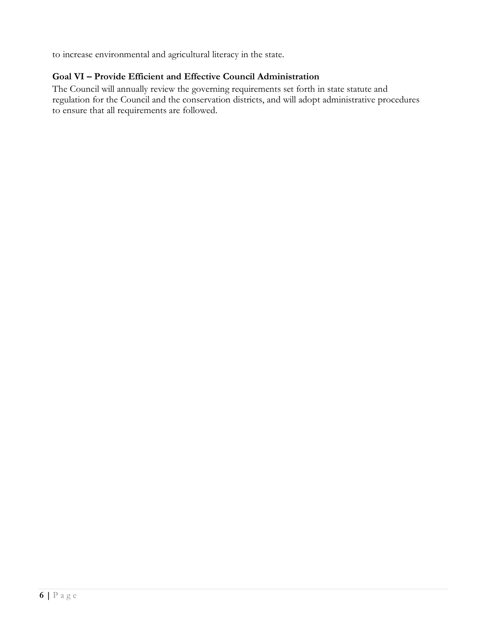to increase environmental and agricultural literacy in the state.

## **Goal VI – Provide Efficient and Effective Council Administration**

The Council will annually review the governing requirements set forth in state statute and regulation for the Council and the conservation districts, and will adopt administrative procedures to ensure that all requirements are followed.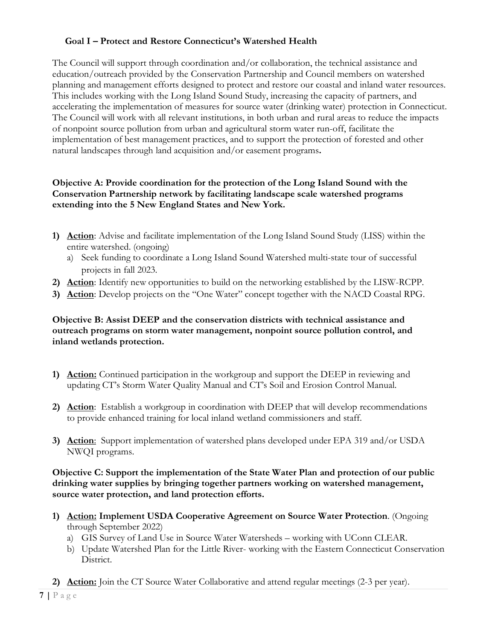### **Goal I – Protect and Restore Connecticut's Watershed Health**

The Council will support through coordination and/or collaboration, the technical assistance and education/outreach provided by the Conservation Partnership and Council members on watershed planning and management efforts designed to protect and restore our coastal and inland water resources. This includes working with the Long Island Sound Study, increasing the capacity of partners, and accelerating the implementation of measures for source water (drinking water) protection in Connecticut. The Council will work with all relevant institutions, in both urban and rural areas to reduce the impacts of nonpoint source pollution from urban and agricultural storm water run-off, facilitate the implementation of best management practices, and to support the protection of forested and other natural landscapes through land acquisition and/or easement programs**.** 

#### **Objective A: Provide coordination for the protection of the Long Island Sound with the Conservation Partnership network by facilitating landscape scale watershed programs extending into the 5 New England States and New York.**

- **1) Action**: Advise and facilitate implementation of the Long Island Sound Study (LISS) within the entire watershed. (ongoing)
	- a) Seek funding to coordinate a Long Island Sound Watershed multi-state tour of successful projects in fall 2023.
- **2) Action**: Identify new opportunities to build on the networking established by the LISW-RCPP.
- **3) Action**: Develop projects on the "One Water" concept together with the NACD Coastal RPG.

#### **Objective B: Assist DEEP and the conservation districts with technical assistance and outreach programs on storm water management, nonpoint source pollution control, and inland wetlands protection.**

- **1) Action:** Continued participation in the workgroup and support the DEEP in reviewing and updating CT's Storm Water Quality Manual and CT's Soil and Erosion Control Manual.
- **2) Action**: Establish a workgroup in coordination with DEEP that will develop recommendations to provide enhanced training for local inland wetland commissioners and staff.
- **3) Action**: Support implementation of watershed plans developed under EPA 319 and/or USDA NWQI programs.

**Objective C: Support the implementation of the State Water Plan and protection of our public drinking water supplies by bringing together partners working on watershed management, source water protection, and land protection efforts.**

- **1) Action: Implement USDA Cooperative Agreement on Source Water Protection**. (Ongoing through September 2022)
	- a) GIS Survey of Land Use in Source Water Watersheds working with UConn CLEAR.
	- b) Update Watershed Plan for the Little River- working with the Eastern Connecticut Conservation District.
- **2) Action:** Join the CT Source Water Collaborative and attend regular meetings (2-3 per year).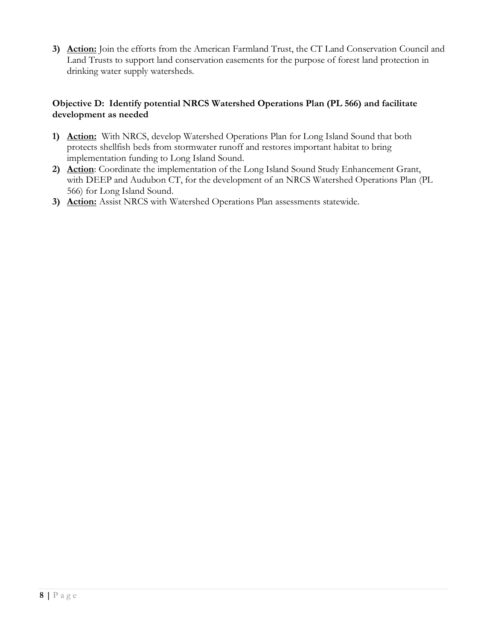**3) Action:** Join the efforts from the American Farmland Trust, the CT Land Conservation Council and Land Trusts to support land conservation easements for the purpose of forest land protection in drinking water supply watersheds.

#### **Objective D: Identify potential NRCS Watershed Operations Plan (PL 566) and facilitate development as needed**

- **1) Action:** With NRCS, develop Watershed Operations Plan for Long Island Sound that both protects shellfish beds from stormwater runoff and restores important habitat to bring implementation funding to Long Island Sound.
- **2) Action**: Coordinate the implementation of the Long Island Sound Study Enhancement Grant, with DEEP and Audubon CT, for the development of an NRCS Watershed Operations Plan (PL 566) for Long Island Sound.
- **3) Action:** Assist NRCS with Watershed Operations Plan assessments statewide.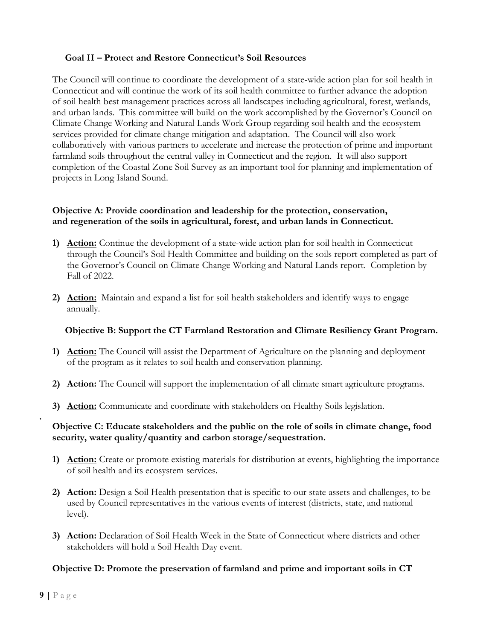#### **Goal II – Protect and Restore Connecticut's Soil Resources**

The Council will continue to coordinate the development of a state-wide action plan for soil health in Connecticut and will continue the work of its soil health committee to further advance the adoption of soil health best management practices across all landscapes including agricultural, forest, wetlands, and urban lands. This committee will build on the work accomplished by the Governor's Council on Climate Change Working and Natural Lands Work Group regarding soil health and the ecosystem services provided for climate change mitigation and adaptation. The Council will also work collaboratively with various partners to accelerate and increase the protection of prime and important farmland soils throughout the central valley in Connecticut and the region. It will also support completion of the Coastal Zone Soil Survey as an important tool for planning and implementation of projects in Long Island Sound.

#### **Objective A: Provide coordination and leadership for the protection, conservation, and regeneration of the soils in agricultural, forest, and urban lands in Connecticut.**

- **1) Action:** Continue the development of a state-wide action plan for soil health in Connecticut through the Council's Soil Health Committee and building on the soils report completed as part of the Governor's Council on Climate Change Working and Natural Lands report. Completion by Fall of 2022.
- **2) Action:** Maintain and expand a list for soil health stakeholders and identify ways to engage annually.

#### **Objective B: Support the CT Farmland Restoration and Climate Resiliency Grant Program.**

- **1) Action:** The Council will assist the Department of Agriculture on the planning and deployment of the program as it relates to soil health and conservation planning.
- **2) Action:** The Council will support the implementation of all climate smart agriculture programs.
- **3) Action:** Communicate and coordinate with stakeholders on Healthy Soils legislation.

#### **Objective C: Educate stakeholders and the public on the role of soils in climate change, food security, water quality/quantity and carbon storage/sequestration.**

- **1) Action:** Create or promote existing materials for distribution at events, highlighting the importance of soil health and its ecosystem services.
- **2) Action:** Design a Soil Health presentation that is specific to our state assets and challenges, to be used by Council representatives in the various events of interest (districts, state, and national level).
- **3) Action:** Declaration of Soil Health Week in the State of Connecticut where districts and other stakeholders will hold a Soil Health Day event.

#### **Objective D: Promote the preservation of farmland and prime and important soils in CT**

,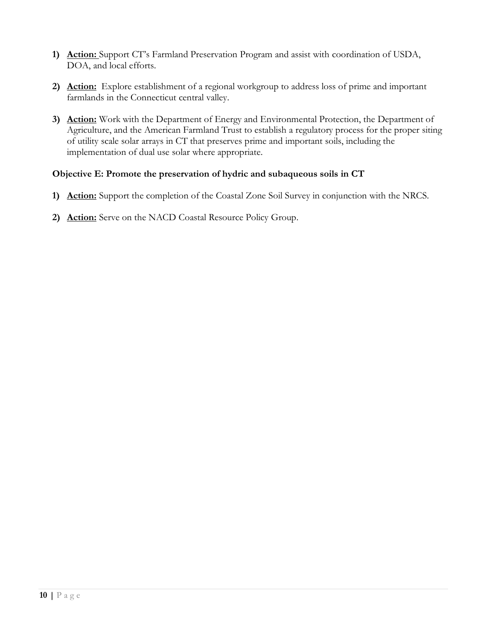- **1) Action:** Support CT's Farmland Preservation Program and assist with coordination of USDA, DOA, and local efforts.
- **2) Action:** Explore establishment of a regional workgroup to address loss of prime and important farmlands in the Connecticut central valley.
- **3) Action:** Work with the Department of Energy and Environmental Protection, the Department of Agriculture, and the American Farmland Trust to establish a regulatory process for the proper siting of utility scale solar arrays in CT that preserves prime and important soils, including the implementation of dual use solar where appropriate.

#### **Objective E: Promote the preservation of hydric and subaqueous soils in CT**

- **1) Action:** Support the completion of the Coastal Zone Soil Survey in conjunction with the NRCS.
- **2) Action:** Serve on the NACD Coastal Resource Policy Group.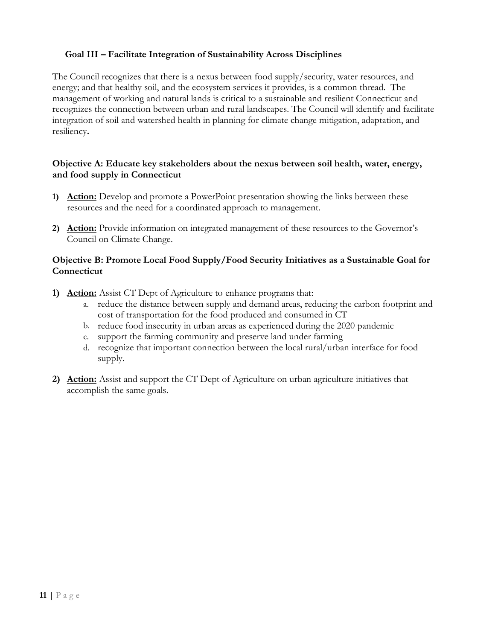#### **Goal III – Facilitate Integration of Sustainability Across Disciplines**

The Council recognizes that there is a nexus between food supply/security, water resources, and energy; and that healthy soil, and the ecosystem services it provides, is a common thread. The management of working and natural lands is critical to a sustainable and resilient Connecticut and recognizes the connection between urban and rural landscapes. The Council will identify and facilitate integration of soil and watershed health in planning for climate change mitigation, adaptation, and resiliency**.**

#### **Objective A: Educate key stakeholders about the nexus between soil health, water, energy, and food supply in Connecticut**

- **1) Action:** Develop and promote a PowerPoint presentation showing the links between these resources and the need for a coordinated approach to management.
- **2) Action:** Provide information on integrated management of these resources to the Governor's Council on Climate Change.

#### **Objective B: Promote Local Food Supply/Food Security Initiatives as a Sustainable Goal for Connecticut**

- **1) Action:** Assist CT Dept of Agriculture to enhance programs that:
	- a. reduce the distance between supply and demand areas, reducing the carbon footprint and cost of transportation for the food produced and consumed in CT
	- b. reduce food insecurity in urban areas as experienced during the 2020 pandemic
	- c. support the farming community and preserve land under farming
	- d. recognize that important connection between the local rural/urban interface for food supply.
- **2) Action:** Assist and support the CT Dept of Agriculture on urban agriculture initiatives that accomplish the same goals.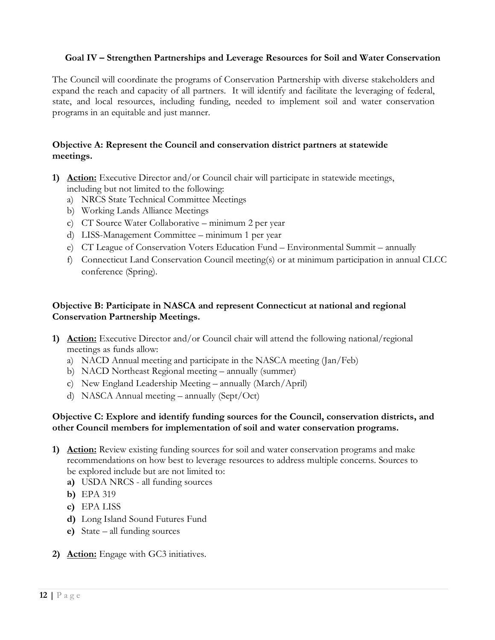#### **Goal IV – Strengthen Partnerships and Leverage Resources for Soil and Water Conservation**

The Council will coordinate the programs of Conservation Partnership with diverse stakeholders and expand the reach and capacity of all partners. It will identify and facilitate the leveraging of federal, state, and local resources, including funding, needed to implement soil and water conservation programs in an equitable and just manner.

#### **Objective A: Represent the Council and conservation district partners at statewide meetings.**

- **1) Action:** Executive Director and/or Council chair will participate in statewide meetings, including but not limited to the following:
	- a) NRCS State Technical Committee Meetings
	- b) Working Lands Alliance Meetings
	- c) CT Source Water Collaborative minimum 2 per year
	- d) LISS-Management Committee minimum 1 per year
	- e) CT League of Conservation Voters Education Fund Environmental Summit annually
	- f) Connecticut Land Conservation Council meeting(s) or at minimum participation in annual CLCC conference (Spring).

#### **Objective B: Participate in NASCA and represent Connecticut at national and regional Conservation Partnership Meetings.**

- **1) Action:** Executive Director and/or Council chair will attend the following national/regional meetings as funds allow:
	- a) NACD Annual meeting and participate in the NASCA meeting (Jan/Feb)
	- b) NACD Northeast Regional meeting annually (summer)
	- c) New England Leadership Meeting annually (March/April)
	- d) NASCA Annual meeting annually (Sept/Oct)

#### **Objective C: Explore and identify funding sources for the Council, conservation districts, and other Council members for implementation of soil and water conservation programs.**

- **1) Action:** Review existing funding sources for soil and water conservation programs and make recommendations on how best to leverage resources to address multiple concerns. Sources to be explored include but are not limited to:
	- **a)** USDA NRCS all funding sources
	- **b)** EPA 319
	- **c)** EPA LISS
	- **d)** Long Island Sound Futures Fund
	- **e)** State all funding sources
- **2) Action:** Engage with GC3 initiatives.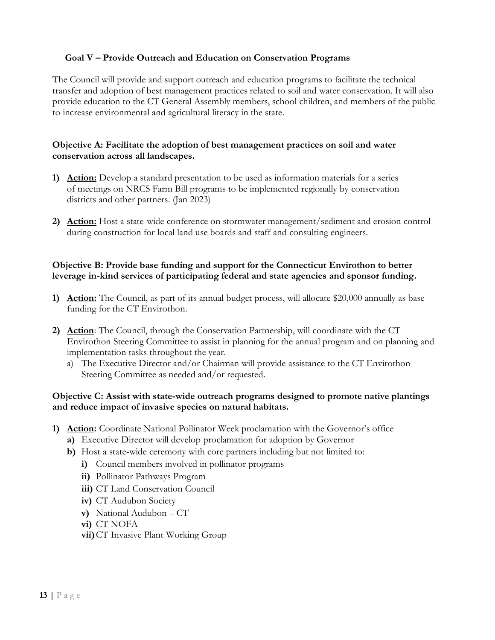#### **Goal V – Provide Outreach and Education on Conservation Programs**

The Council will provide and support outreach and education programs to facilitate the technical transfer and adoption of best management practices related to soil and water conservation. It will also provide education to the CT General Assembly members, school children, and members of the public to increase environmental and agricultural literacy in the state.

#### **Objective A: Facilitate the adoption of best management practices on soil and water conservation across all landscapes.**

- **1) Action:** Develop a standard presentation to be used as information materials for a series of meetings on NRCS Farm Bill programs to be implemented regionally by conservation districts and other partners. (Jan 2023)
- **2) Action:** Host a state-wide conference on stormwater management/sediment and erosion control during construction for local land use boards and staff and consulting engineers.

#### **Objective B: Provide base funding and support for the Connecticut Envirothon to better leverage in-kind services of participating federal and state agencies and sponsor funding.**

- **1) Action:** The Council, as part of its annual budget process, will allocate \$20,000 annually as base funding for the CT Envirothon.
- **2) Action**: The Council, through the Conservation Partnership, will coordinate with the CT Envirothon Steering Committee to assist in planning for the annual program and on planning and implementation tasks throughout the year.
	- a) The Executive Director and/or Chairman will provide assistance to the CT Envirothon Steering Committee as needed and/or requested.

#### **Objective C: Assist with state-wide outreach programs designed to promote native plantings and reduce impact of invasive species on natural habitats.**

- **1) Action:** Coordinate National Pollinator Week proclamation with the Governor's office
	- **a)** Executive Director will develop proclamation for adoption by Governor
	- **b)** Host a state-wide ceremony with core partners including but not limited to:
		- **i)** Council members involved in pollinator programs
		- **ii)** Pollinator Pathways Program
		- **iii)** CT Land Conservation Council
		- **iv)** CT Audubon Society
		- **v)** National Audubon CT
		- **vi)** CT NOFA
		- **vii)**CT Invasive Plant Working Group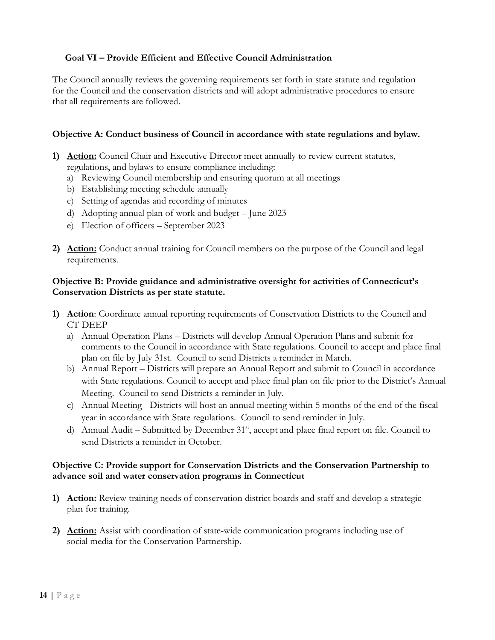### **Goal VI – Provide Efficient and Effective Council Administration**

The Council annually reviews the governing requirements set forth in state statute and regulation for the Council and the conservation districts and will adopt administrative procedures to ensure that all requirements are followed.

#### **Objective A: Conduct business of Council in accordance with state regulations and bylaw.**

- **1) Action:** Council Chair and Executive Director meet annually to review current statutes, regulations, and bylaws to ensure compliance including:
	- a) Reviewing Council membership and ensuring quorum at all meetings
	- b) Establishing meeting schedule annually
	- c) Setting of agendas and recording of minutes
	- d) Adopting annual plan of work and budget June 2023
	- e) Election of officers September 2023
- **2) Action:** Conduct annual training for Council members on the purpose of the Council and legal requirements.

#### **Objective B: Provide guidance and administrative oversight for activities of Connecticut's Conservation Districts as per state statute.**

- **1) Action**: Coordinate annual reporting requirements of Conservation Districts to the Council and CT DEEP
	- a) Annual Operation Plans Districts will develop Annual Operation Plans and submit for comments to the Council in accordance with State regulations. Council to accept and place final plan on file by July 31st. Council to send Districts a reminder in March.
	- b) Annual Report Districts will prepare an Annual Report and submit to Council in accordance with State regulations. Council to accept and place final plan on file prior to the District's Annual Meeting. Council to send Districts a reminder in July.
	- c) Annual Meeting Districts will host an annual meeting within 5 months of the end of the fiscal year in accordance with State regulations. Council to send reminder in July.
	- d) Annual Audit Submitted by December  $31<sup>st</sup>$ , accept and place final report on file. Council to send Districts a reminder in October.

#### **Objective C: Provide support for Conservation Districts and the Conservation Partnership to advance soil and water conservation programs in Connecticut**

- **1) Action:** Review training needs of conservation district boards and staff and develop a strategic plan for training.
- **2) Action:** Assist with coordination of state-wide communication programs including use of social media for the Conservation Partnership.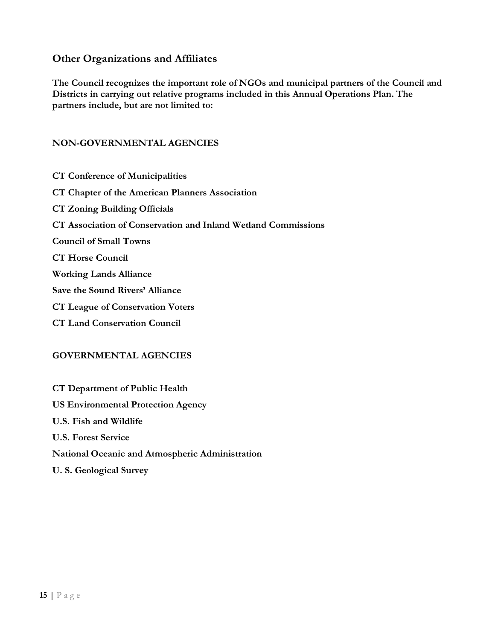## <span id="page-14-0"></span>**Other Organizations and Affiliates**

**The Council recognizes the important role of NGOs and municipal partners of the Council and Districts in carrying out relative programs included in this Annual Operations Plan. The partners include, but are not limited to:**

#### **NON-GOVERNMENTAL AGENCIES**

**CT Conference of Municipalities CT Chapter of the American Planners Association CT Zoning Building Officials CT Association of Conservation and Inland Wetland Commissions Council of Small Towns CT Horse Council Working Lands Alliance Save the Sound Rivers' Alliance CT League of Conservation Voters CT Land Conservation Council**

#### **GOVERNMENTAL AGENCIES**

**CT Department of Public Health US Environmental Protection Agency U.S. Fish and Wildlife U.S. Forest Service National Oceanic and Atmospheric Administration U. S. Geological Survey**